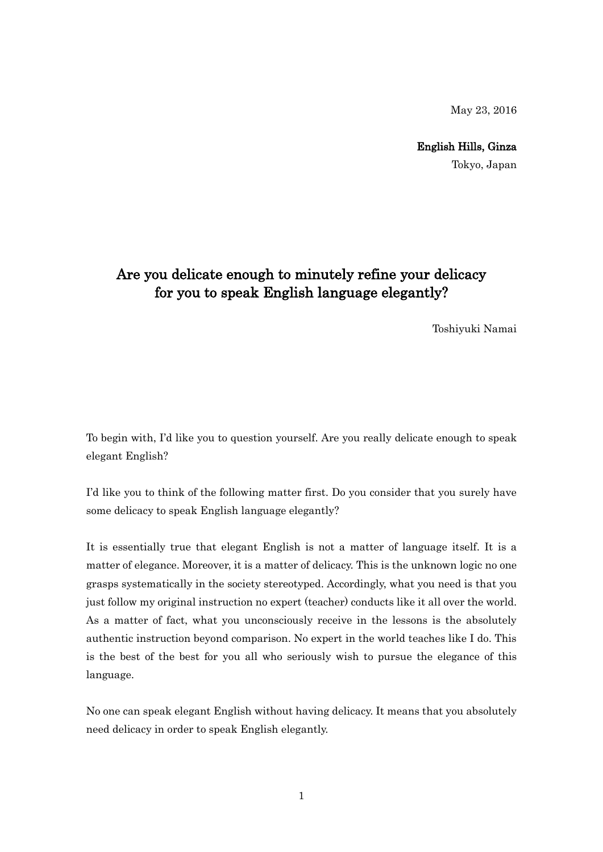May 23, 2016

English Hills, Ginza Tokyo, Japan

## Are you delicate enough to minutely refine your delicacy for you to speak English language elegantly?

Toshiyuki Namai

To begin with, I'd like you to question yourself. Are you really delicate enough to speak elegant English?

I'd like you to think of the following matter first. Do you consider that you surely have some delicacy to speak English language elegantly?

It is essentially true that elegant English is not a matter of language itself. It is a matter of elegance. Moreover, it is a matter of delicacy. This is the unknown logic no one grasps systematically in the society stereotyped. Accordingly, what you need is that you just follow my original instruction no expert (teacher) conducts like it all over the world. As a matter of fact, what you unconsciously receive in the lessons is the absolutely authentic instruction beyond comparison. No expert in the world teaches like I do. This is the best of the best for you all who seriously wish to pursue the elegance of this language.

No one can speak elegant English without having delicacy. It means that you absolutely need delicacy in order to speak English elegantly.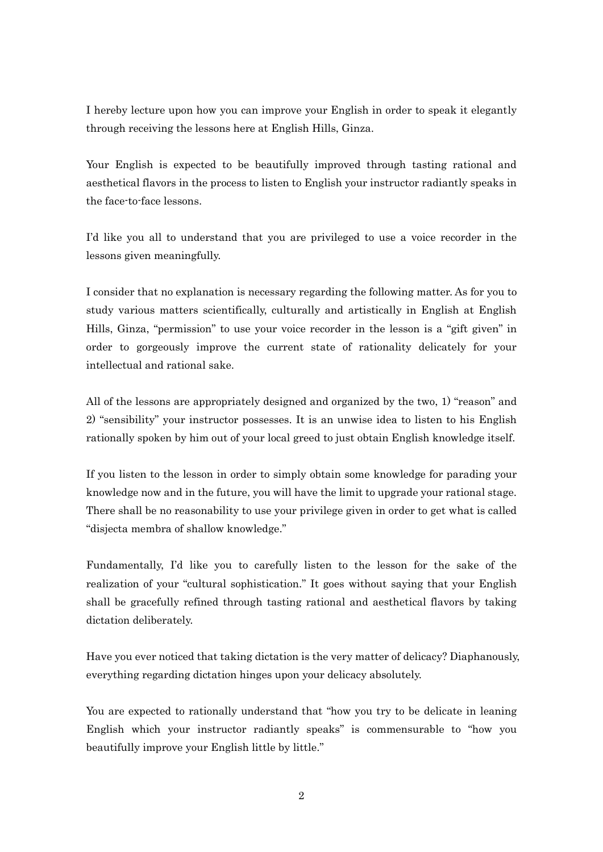I hereby lecture upon how you can improve your English in order to speak it elegantly through receiving the lessons here at English Hills, Ginza.

Your English is expected to be beautifully improved through tasting rational and aesthetical flavors in the process to listen to English your instructor radiantly speaks in the face-to-face lessons.

I'd like you all to understand that you are privileged to use a voice recorder in the lessons given meaningfully.

I consider that no explanation is necessary regarding the following matter. As for you to study various matters scientifically, culturally and artistically in English at English Hills, Ginza, "permission" to use your voice recorder in the lesson is a "gift given" in order to gorgeously improve the current state of rationality delicately for your intellectual and rational sake.

All of the lessons are appropriately designed and organized by the two, 1) "reason" and 2) "sensibility" your instructor possesses. It is an unwise idea to listen to his English rationally spoken by him out of your local greed to just obtain English knowledge itself.

If you listen to the lesson in order to simply obtain some knowledge for parading your knowledge now and in the future, you will have the limit to upgrade your rational stage. There shall be no reasonability to use your privilege given in order to get what is called "disjecta membra of shallow knowledge."

Fundamentally, I'd like you to carefully listen to the lesson for the sake of the realization of your "cultural sophistication." It goes without saying that your English shall be gracefully refined through tasting rational and aesthetical flavors by taking dictation deliberately.

Have you ever noticed that taking dictation is the very matter of delicacy? Diaphanously, everything regarding dictation hinges upon your delicacy absolutely.

You are expected to rationally understand that "how you try to be delicate in leaning English which your instructor radiantly speaks" is commensurable to "how you beautifully improve your English little by little."